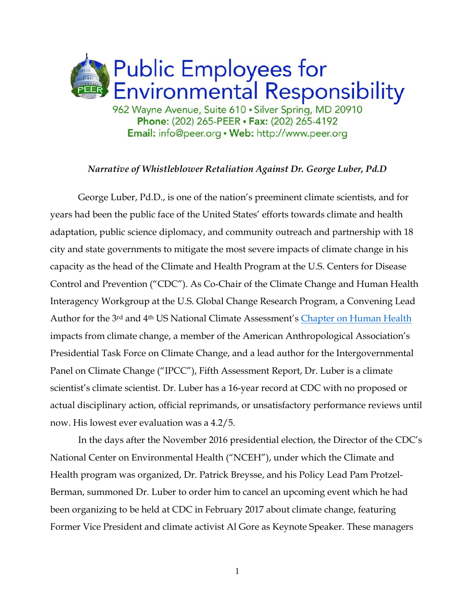

## *Narrative of Whistleblower Retaliation Against Dr. George Luber, Pd.D*

George Luber, Pd.D., is one of the nation's preeminent climate scientists, and for years had been the public face of the United States' efforts towards climate and health adaptation, public science diplomacy, and community outreach and partnership with 18 city and state governments to mitigate the most severe impacts of climate change in his capacity as the head of the Climate and Health Program at the U.S. Centers for Disease Control and Prevention ("CDC"). As Co-Chair of the Climate Change and Human Health Interagency Workgroup at the U.S. Global Change Research Program, a Convening Lead Author for the 3<sup>rd</sup> and 4<sup>th</sup> US National Climate Assessment's [Chapter on Human Health](https://nca2018.globalchange.gov/chapter/14/) impacts from climate change, a member of the American Anthropological Association's Presidential Task Force on Climate Change, and a lead author for the Intergovernmental Panel on Climate Change ("IPCC"), Fifth Assessment Report, Dr. Luber is a climate scientist's climate scientist. Dr. Luber has a 16-year record at CDC with no proposed or actual disciplinary action, official reprimands, or unsatisfactory performance reviews until now. His lowest ever evaluation was a 4.2/5.

In the days after the November 2016 presidential election, the Director of the CDC's National Center on Environmental Health ("NCEH"), under which the Climate and Health program was organized, Dr. Patrick Breysse, and his Policy Lead Pam Protzel-Berman, summoned Dr. Luber to order him to cancel an upcoming event which he had been organizing to be held at CDC in February 2017 about climate change, featuring Former Vice President and climate activist Al Gore as Keynote Speaker. These managers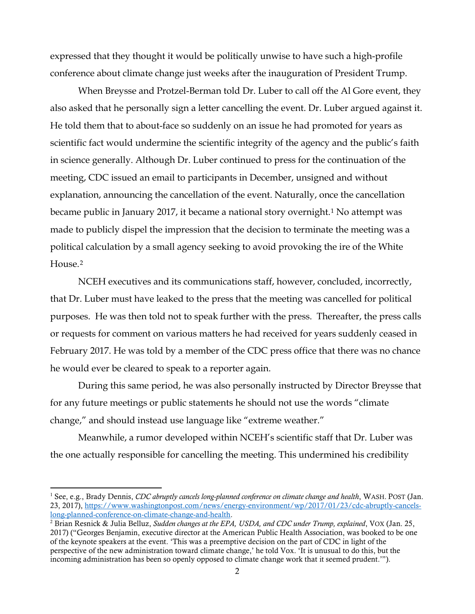expressed that they thought it would be politically unwise to have such a high-profile conference about climate change just weeks after the inauguration of President Trump.

When Breysse and Protzel-Berman told Dr. Luber to call off the Al Gore event, they also asked that he personally sign a letter cancelling the event. Dr. Luber argued against it. He told them that to about-face so suddenly on an issue he had promoted for years as scientific fact would undermine the scientific integrity of the agency and the public's faith in science generally. Although Dr. Luber continued to press for the continuation of the meeting, CDC issued an email to participants in December, unsigned and without explanation, announcing the cancellation of the event. Naturally, once the cancellation became public in January 2017, it became a national story overnight.[1](#page-1-0) No attempt was made to publicly dispel the impression that the decision to terminate the meeting was a political calculation by a small agency seeking to avoid provoking the ire of the White House.[2](#page-1-1)

NCEH executives and its communications staff, however, concluded, incorrectly, that Dr. Luber must have leaked to the press that the meeting was cancelled for political purposes. He was then told not to speak further with the press. Thereafter, the press calls or requests for comment on various matters he had received for years suddenly ceased in February 2017. He was told by a member of the CDC press office that there was no chance he would ever be cleared to speak to a reporter again.

During this same period, he was also personally instructed by Director Breysse that for any future meetings or public statements he should not use the words "climate change," and should instead use language like "extreme weather."

Meanwhile, a rumor developed within NCEH's scientific staff that Dr. Luber was the one actually responsible for cancelling the meeting. This undermined his credibility

<span id="page-1-0"></span> <sup>1</sup> See, e.g., Brady Dennis, *CDC abruptly cancels long-planned conference on climate change and health*, WASH. POST (Jan. 23, 2017), [https://www.washingtonpost.com/news/energy-environment/wp/2017/01/23/cdc-abruptly-cancels](https://www.washingtonpost.com/news/energy-environment/wp/2017/01/23/cdc-abruptly-cancels-long-planned-conference-on-climate-change-and-health)[long-planned-conference-on-climate-change-and-health.](https://www.washingtonpost.com/news/energy-environment/wp/2017/01/23/cdc-abruptly-cancels-long-planned-conference-on-climate-change-and-health)

<span id="page-1-1"></span><sup>2</sup> Brian Resnick & Julia Belluz, *Sudden changes at the EPA, USDA, and CDC under Trump, explained*, VOX (Jan. 25, 2017) ("Georges Benjamin, executive director at the American Public Health Association, was booked to be one of the keynote speakers at the event. 'This was a preemptive decision on the part of CDC in light of the perspective of the new administration toward climate change,' he told Vox. 'It is unusual to do this, but the incoming administration has been so openly opposed to climate change work that it seemed prudent.'").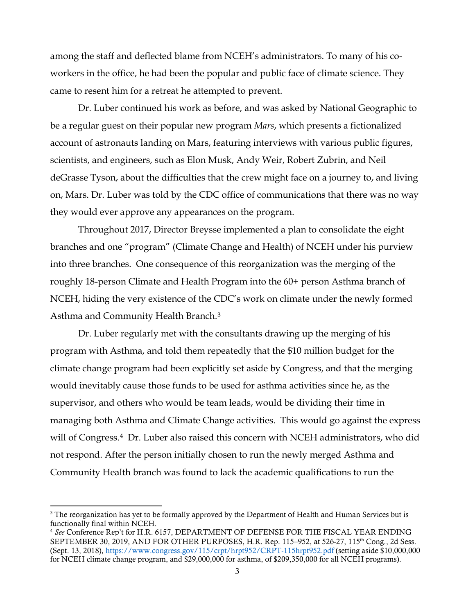among the staff and deflected blame from NCEH's administrators. To many of his coworkers in the office, he had been the popular and public face of climate science. They came to resent him for a retreat he attempted to prevent.

Dr. Luber continued his work as before, and was asked by National Geographic to be a regular guest on their popular new program *Mars*, which presents a fictionalized account of astronauts landing on Mars, featuring interviews with various public figures, scientists, and engineers, such as Elon Musk, Andy Weir, Robert Zubrin, and Neil deGrasse Tyson, about the difficulties that the crew might face on a journey to, and living on, Mars. Dr. Luber was told by the CDC office of communications that there was no way they would ever approve any appearances on the program.

Throughout 2017, Director Breysse implemented a plan to consolidate the eight branches and one "program" (Climate Change and Health) of NCEH under his purview into three branches. One consequence of this reorganization was the merging of the roughly 18-person Climate and Health Program into the 60+ person Asthma branch of NCEH, hiding the very existence of the CDC's work on climate under the newly formed Asthma and Community Health Branch.[3](#page-2-0)

Dr. Luber regularly met with the consultants drawing up the merging of his program with Asthma, and told them repeatedly that the \$10 million budget for the climate change program had been explicitly set aside by Congress, and that the merging would inevitably cause those funds to be used for asthma activities since he, as the supervisor, and others who would be team leads, would be dividing their time in managing both Asthma and Climate Change activities. This would go against the express will of Congress.[4](#page-2-1) Dr. Luber also raised this concern with NCEH administrators, who did not respond. After the person initially chosen to run the newly merged Asthma and Community Health branch was found to lack the academic qualifications to run the

<span id="page-2-0"></span> $3$  The reorganization has yet to be formally approved by the Department of Health and Human Services but is functionally final within NCEH.

<span id="page-2-1"></span><sup>4</sup> *See* Conference Rep't for H.R. 6157, DEPARTMENT OF DEFENSE FOR THE FISCAL YEAR ENDING SEPTEMBER 30, 2019, AND FOR OTHER PURPOSES, H.R. Rep. 115-952, at 526-27, 115<sup>th</sup> Cong., 2d Sess. (Sept. 13, 2018),<https://www.congress.gov/115/crpt/hrpt952/CRPT-115hrpt952.pdf> (setting aside \$10,000,000 for NCEH climate change program, and \$29,000,000 for asthma, of \$209,350,000 for all NCEH programs).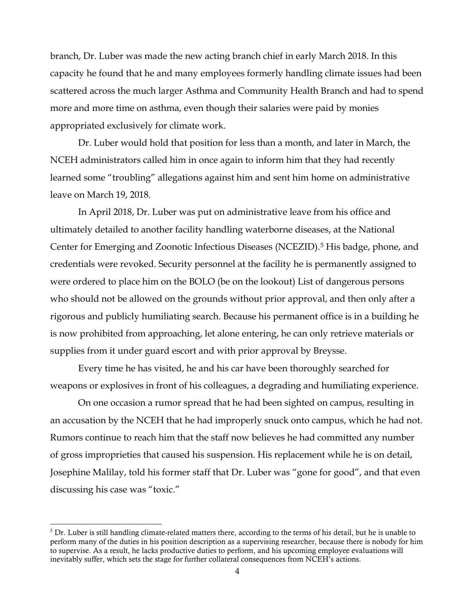branch, Dr. Luber was made the new acting branch chief in early March 2018. In this capacity he found that he and many employees formerly handling climate issues had been scattered across the much larger Asthma and Community Health Branch and had to spend more and more time on asthma, even though their salaries were paid by monies appropriated exclusively for climate work.

Dr. Luber would hold that position for less than a month, and later in March, the NCEH administrators called him in once again to inform him that they had recently learned some "troubling" allegations against him and sent him home on administrative leave on March 19, 2018.

In April 2018, Dr. Luber was put on administrative leave from his office and ultimately detailed to another facility handling waterborne diseases, at the National Center for Emerging and Zoonotic Infectious Diseases (NCEZID).<sup>[5](#page-3-0)</sup> His badge, phone, and credentials were revoked. Security personnel at the facility he is permanently assigned to were ordered to place him on the BOLO (be on the lookout) List of dangerous persons who should not be allowed on the grounds without prior approval, and then only after a rigorous and publicly humiliating search. Because his permanent office is in a building he is now prohibited from approaching, let alone entering, he can only retrieve materials or supplies from it under guard escort and with prior approval by Breysse.

Every time he has visited, he and his car have been thoroughly searched for weapons or explosives in front of his colleagues, a degrading and humiliating experience.

On one occasion a rumor spread that he had been sighted on campus, resulting in an accusation by the NCEH that he had improperly snuck onto campus, which he had not. Rumors continue to reach him that the staff now believes he had committed any number of gross improprieties that caused his suspension. His replacement while he is on detail, Josephine Malilay, told his former staff that Dr. Luber was "gone for good", and that even discussing his case was "toxic."

<span id="page-3-0"></span> $5$  Dr. Luber is still handling climate-related matters there, according to the terms of his detail, but he is unable to perform many of the duties in his position description as a supervising researcher, because there is nobody for him to supervise. As a result, he lacks productive duties to perform, and his upcoming employee evaluations will inevitably suffer, which sets the stage for further collateral consequences from NCEH's actions.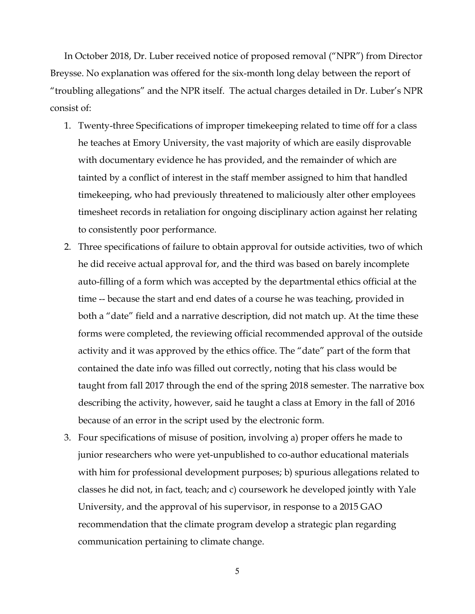In October 2018, Dr. Luber received notice of proposed removal ("NPR") from Director Breysse. No explanation was offered for the six-month long delay between the report of "troubling allegations" and the NPR itself. The actual charges detailed in Dr. Luber's NPR consist of:

- 1. Twenty-three Specifications of improper timekeeping related to time off for a class he teaches at Emory University, the vast majority of which are easily disprovable with documentary evidence he has provided, and the remainder of which are tainted by a conflict of interest in the staff member assigned to him that handled timekeeping, who had previously threatened to maliciously alter other employees timesheet records in retaliation for ongoing disciplinary action against her relating to consistently poor performance.
- 2. Three specifications of failure to obtain approval for outside activities, two of which he did receive actual approval for, and the third was based on barely incomplete auto-filling of a form which was accepted by the departmental ethics official at the time -- because the start and end dates of a course he was teaching, provided in both a "date" field and a narrative description, did not match up. At the time these forms were completed, the reviewing official recommended approval of the outside activity and it was approved by the ethics office. The "date" part of the form that contained the date info was filled out correctly, noting that his class would be taught from fall 2017 through the end of the spring 2018 semester. The narrative box describing the activity, however, said he taught a class at Emory in the fall of 2016 because of an error in the script used by the electronic form.
- 3. Four specifications of misuse of position, involving a) proper offers he made to junior researchers who were yet-unpublished to co-author educational materials with him for professional development purposes; b) spurious allegations related to classes he did not, in fact, teach; and c) coursework he developed jointly with Yale University, and the approval of his supervisor, in response to a 2015 GAO recommendation that the climate program develop a strategic plan regarding communication pertaining to climate change.

5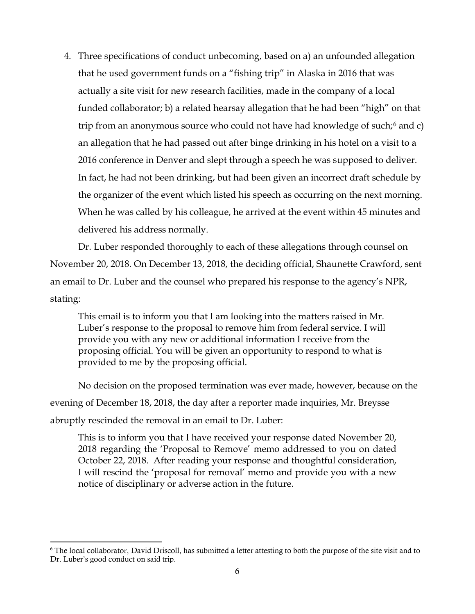4. Three specifications of conduct unbecoming, based on a) an unfounded allegation that he used government funds on a "fishing trip" in Alaska in 2016 that was actually a site visit for new research facilities, made in the company of a local funded collaborator; b) a related hearsay allegation that he had been "high" on that trip from an anonymous source who could not have had knowledge of such;<sup>[6](#page-5-0)</sup> and c) an allegation that he had passed out after binge drinking in his hotel on a visit to a 2016 conference in Denver and slept through a speech he was supposed to deliver. In fact, he had not been drinking, but had been given an incorrect draft schedule by the organizer of the event which listed his speech as occurring on the next morning. When he was called by his colleague, he arrived at the event within 45 minutes and delivered his address normally.

Dr. Luber responded thoroughly to each of these allegations through counsel on November 20, 2018. On December 13, 2018, the deciding official, Shaunette Crawford, sent an email to Dr. Luber and the counsel who prepared his response to the agency's NPR, stating:

This email is to inform you that I am looking into the matters raised in Mr. Luber's response to the proposal to remove him from federal service. I will provide you with any new or additional information I receive from the proposing official. You will be given an opportunity to respond to what is provided to me by the proposing official.

No decision on the proposed termination was ever made, however, because on the evening of December 18, 2018, the day after a reporter made inquiries, Mr. Breysse abruptly rescinded the removal in an email to Dr. Luber:

This is to inform you that I have received your response dated November 20, 2018 regarding the 'Proposal to Remove' memo addressed to you on dated October 22, 2018. After reading your response and thoughtful consideration, I will rescind the 'proposal for removal' memo and provide you with a new notice of disciplinary or adverse action in the future.

<span id="page-5-0"></span><sup>&</sup>lt;sup>6</sup> The local collaborator, David Driscoll, has submitted a letter attesting to both the purpose of the site visit and to Dr. Luber's good conduct on said trip.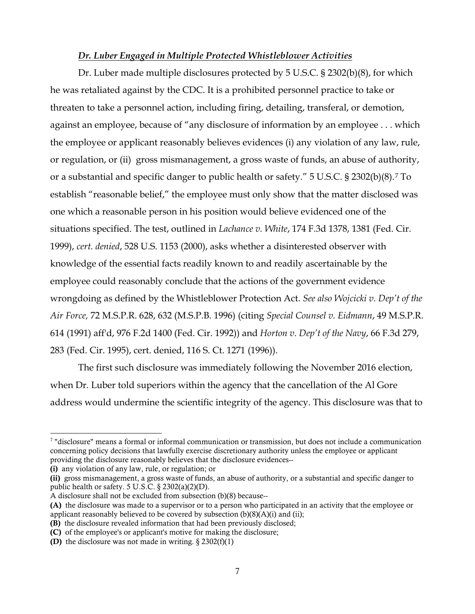## *Dr. Luber Engaged in Multiple Protected Whistleblower Activities*

Dr. Luber made multiple disclosures protected by 5 U.S.C. § 2302(b)(8), for which he was retaliated against by the CDC. It is a prohibited personnel practice to take or threaten to take a personnel action, including firing, detailing, transferal, or demotion, against an employee, because of "any disclosure of information by an employee . . . which the employee or applicant reasonably believes evidences (i) any violation of any law, rule, or regulation, or (ii) gross mismanagement, a gross waste of funds, an abuse of authority, or a substantial and specific danger to public health or safety." 5 U.S.C. § 2302(b)(8).[7](#page-6-0) To establish "reasonable belief," the employee must only show that the matter disclosed was one which a reasonable person in his position would believe evidenced one of the situations specified. The test, outlined in *Lachance v. White*, 174 F.3d 1378, 1381 (Fed. Cir. 1999), *cert. denied*, 528 U.S. 1153 (2000), asks whether a disinterested observer with knowledge of the essential facts readily known to and readily ascertainable by the employee could reasonably conclude that the actions of the government evidence wrongdoing as defined by the Whistleblower Protection Act. *See also Wojcicki v. Dep't of the Air Force,* 72 M.S.P.R. 628, 632 (M.S.P.B. 1996) (citing *Special Counsel v. Eidmann*, 49 M.S.P.R. 614 (1991) aff'd, 976 F.2d 1400 (Fed. Cir. 1992)) and *Horton v. Dep't of the Navy*, 66 F.3d 279, 283 (Fed. Cir. 1995), cert. denied, 116 S. Ct. 1271 (1996)).

The first such disclosure was immediately following the November 2016 election, when Dr. Luber told superiors within the agency that the cancellation of the Al Gore address would undermine the scientific integrity of the agency. This disclosure was that to

(i) any violation of any law, rule, or regulation; or

(ii) gross mismanagement, a gross waste of funds, an abuse of authority, or a substantial and specific danger to public health or safety. 5 U.S.C. § 2302(a)(2)(D).

<span id="page-6-0"></span> <sup>7</sup> "disclosure" means a formal or informal communication or transmission, but does not include a communication concerning policy decisions that lawfully exercise discretionary authority unless the employee or applicant providing the disclosure reasonably believes that the disclosure evidences--

A disclosure shall not be excluded from subsection (b)(8) because--

<sup>(</sup>A) the disclosure was made to a supervisor or to a person who participated in an activity that the employee or applicant reasonably believed to be covered by subsection  $(b)(8)(A)(i)$  and (ii);

<sup>(</sup>B) the disclosure revealed information that had been previously disclosed;

<sup>(</sup>C) of the employee's or applicant's motive for making the disclosure;

<sup>(</sup>D) the disclosure was not made in writing.  $\S 2302(f)(1)$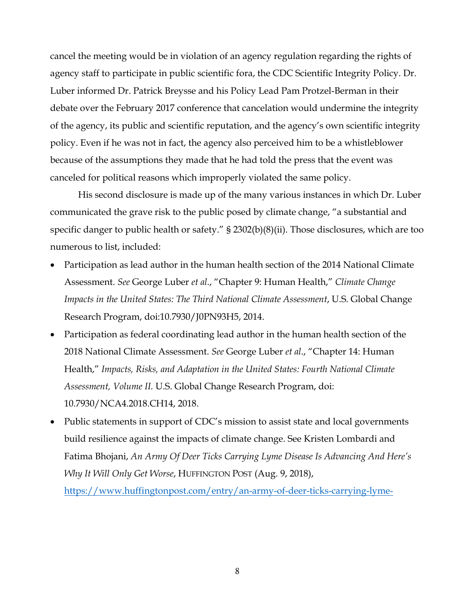cancel the meeting would be in violation of an agency regulation regarding the rights of agency staff to participate in public scientific fora, the CDC Scientific Integrity Policy. Dr. Luber informed Dr. Patrick Breysse and his Policy Lead Pam Protzel-Berman in their debate over the February 2017 conference that cancelation would undermine the integrity of the agency, its public and scientific reputation, and the agency's own scientific integrity policy. Even if he was not in fact, the agency also perceived him to be a whistleblower because of the assumptions they made that he had told the press that the event was canceled for political reasons which improperly violated the same policy.

His second disclosure is made up of the many various instances in which Dr. Luber communicated the grave risk to the public posed by climate change, "a substantial and specific danger to public health or safety." § 2302(b)(8)(ii). Those disclosures, which are too numerous to list, included:

- Participation as lead author in the human health section of the 2014 National Climate Assessment. *See* George Luber *et al*., "Chapter 9: Human Health," *Climate Change Impacts in the United States: The Third National Climate Assessment*, U.S. Global Change Research Program, doi:10.7930/J0PN93H5, 2014.
- Participation as federal coordinating lead author in the human health section of the 2018 National Climate Assessment. *See* George Luber *et al*., "Chapter 14: Human Health," *Impacts, Risks, and Adaptation in the United States: Fourth National Climate Assessment, Volume II.* U.S. Global Change Research Program, doi: 10.7930/NCA4.2018.CH14, 2018.
- Public statements in support of CDC's mission to assist state and local governments build resilience against the impacts of climate change. See Kristen Lombardi and Fatima Bhojani, *An Army Of Deer Ticks Carrying Lyme Disease Is Advancing And Here's Why It Will Only Get Worse*, HUFFINGTON POST (Aug. 9, 2018),

[https://www.huffingtonpost.com/entry/an-army-of-deer-ticks-carrying-lyme-](https://www.huffingtonpost.com/entry/an-army-of-deer-ticks-carrying-lyme-disease-is-advancing-and-heres-why-it-will-only-get-worse_us_5b69b04fe4b0b15abaa74ea0)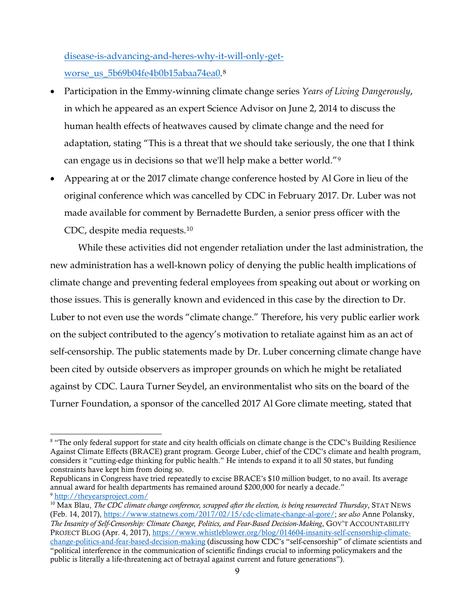[disease-is-advancing-and-heres-why-it-will-only-get](https://www.huffingtonpost.com/entry/an-army-of-deer-ticks-carrying-lyme-disease-is-advancing-and-heres-why-it-will-only-get-worse_us_5b69b04fe4b0b15abaa74ea0)[worse\\_us\\_5b69b04fe4b0b15abaa74ea0.](https://www.huffingtonpost.com/entry/an-army-of-deer-ticks-carrying-lyme-disease-is-advancing-and-heres-why-it-will-only-get-worse_us_5b69b04fe4b0b15abaa74ea0)[8](#page-8-0)

- Participation in the Emmy-winning climate change series *Years of Living Dangerously*, in which he appeared as an expert Science Advisor on June 2, 2014 to discuss the human health effects of heatwaves caused by climate change and the need for adaptation, stating "This is a threat that we should take seriously, the one that I think can engage us in decisions so that we'll help make a better world."[9](#page-8-1)
- Appearing at or the 2017 climate change conference hosted by Al Gore in lieu of the original conference which was cancelled by CDC in February 2017. Dr. Luber was not made available for comment by Bernadette Burden, a senior press officer with the CDC, despite media requests.[10](#page-8-2)

While these activities did not engender retaliation under the last administration, the new administration has a well-known policy of denying the public health implications of climate change and preventing federal employees from speaking out about or working on those issues. This is generally known and evidenced in this case by the direction to Dr. Luber to not even use the words "climate change." Therefore, his very public earlier work on the subject contributed to the agency's motivation to retaliate against him as an act of self-censorship. The public statements made by Dr. Luber concerning climate change have been cited by outside observers as improper grounds on which he might be retaliated against by CDC. Laura Turner Seydel, an environmentalist who sits on the board of the Turner Foundation, a sponsor of the cancelled 2017 Al Gore climate meeting, stated that

<span id="page-8-0"></span> <sup>8</sup> "The only federal support for state and city health officials on climate change is the CDC's Building Resilience Against Climate Effects (BRACE) grant program. George Luber, chief of the CDC's climate and health program, considers it "cutting-edge thinking for public health." He intends to expand it to all 50 states, but funding constraints have kept him from doing so.

Republicans in Congress have tried repeatedly to excise BRACE's \$10 million budget, to no avail. Its average annual award for health departments has remained around \$200,000 for nearly a decade." <sup>9</sup> <http://theyearsproject.com/>

<span id="page-8-2"></span><span id="page-8-1"></span><sup>10</sup> Max Blau, *The CDC climate change conference, scrapped after the election, is being resurrected Thursday*, STAT NEWS (Feb. 14, 2017), [https://www.statnews.com/2017/02/15/cdc-climate-change-al-gore/;](https://www.statnews.com/2017/02/15/cdc-climate-change-al-gore/) *see also* Anne Polansky, *The Insanity of Self-Censorship: Climate Change, Politics, and Fear-Based Decision-Making*, GOV'T ACCOUNTABILITY PROJECT BLOG (Apr. 4, 2017)[, https://www.whistleblower.org/blog/014604-insanity-self-censorship-climate](https://www.whistleblower.org/blog/014604-insanity-self-censorship-climate-change-politics-and-fear-based-decision-making)[change-politics-and-fear-based-decision-making](https://www.whistleblower.org/blog/014604-insanity-self-censorship-climate-change-politics-and-fear-based-decision-making) (discussing how CDC's "self-censorship" of climate scientists and "political interference in the communication of scientific findings crucial to informing policymakers and the

public is literally a life-threatening act of betrayal against current and future generations").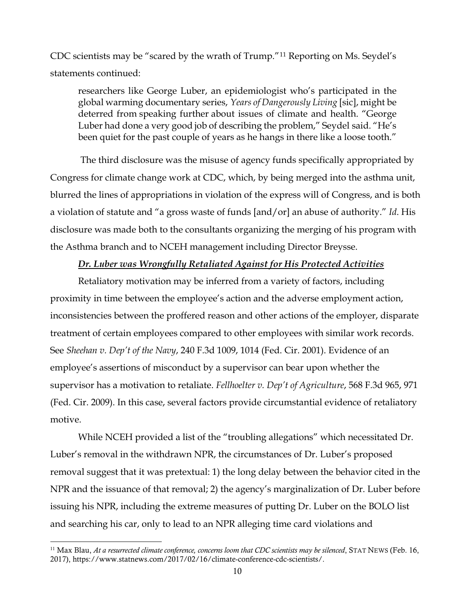CDC scientists may be "scared by the wrath of Trump."[11](#page-9-0) Reporting on Ms. Seydel's statements continued:

researchers like George Luber, an epidemiologist who's participated in the global warming documentary series, *Years of Dangerously Living* [sic], might be deterred from speaking further about issues of climate and health. "George Luber had done a very good job of describing the problem," Seydel said. "He's been quiet for the past couple of years as he hangs in there like a loose tooth."

The third disclosure was the misuse of agency funds specifically appropriated by Congress for climate change work at CDC, which, by being merged into the asthma unit, blurred the lines of appropriations in violation of the express will of Congress, and is both a violation of statute and "a gross waste of funds [and/or] an abuse of authority." *Id*. His disclosure was made both to the consultants organizing the merging of his program with the Asthma branch and to NCEH management including Director Breysse.

## *Dr. Luber was Wrongfully Retaliated Against for His Protected Activities*

Retaliatory motivation may be inferred from a variety of factors, including proximity in time between the employee's action and the adverse employment action, inconsistencies between the proffered reason and other actions of the employer, disparate treatment of certain employees compared to other employees with similar work records. See *Sheehan v. Dep't of the Navy*, 240 F.3d 1009, 1014 (Fed. Cir. 2001). Evidence of an employee's assertions of misconduct by a supervisor can bear upon whether the supervisor has a motivation to retaliate. *Fellhoelter v. Dep't of Agriculture*, 568 F.3d 965, 971 (Fed. Cir. 2009). In this case, several factors provide circumstantial evidence of retaliatory motive.

While NCEH provided a list of the "troubling allegations" which necessitated Dr. Luber's removal in the withdrawn NPR, the circumstances of Dr. Luber's proposed removal suggest that it was pretextual: 1) the long delay between the behavior cited in the NPR and the issuance of that removal; 2) the agency's marginalization of Dr. Luber before issuing his NPR, including the extreme measures of putting Dr. Luber on the BOLO list and searching his car, only to lead to an NPR alleging time card violations and

<span id="page-9-0"></span><sup>&</sup>lt;sup>11</sup> Max Blau, *At a resurrected climate conference, concerns loom that CDC scientists may be silenced*, STAT NEWS (Feb. 16, 2017), https://www.statnews.com/2017/02/16/climate-conference-cdc-scientists/.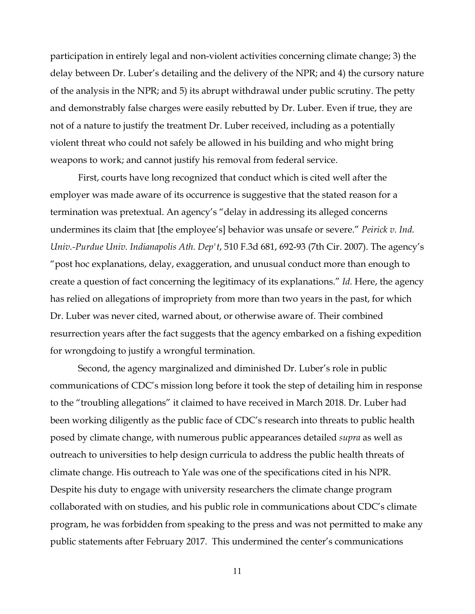participation in entirely legal and non-violent activities concerning climate change; 3) the delay between Dr. Luber's detailing and the delivery of the NPR; and 4) the cursory nature of the analysis in the NPR; and 5) its abrupt withdrawal under public scrutiny. The petty and demonstrably false charges were easily rebutted by Dr. Luber. Even if true, they are not of a nature to justify the treatment Dr. Luber received, including as a potentially violent threat who could not safely be allowed in his building and who might bring weapons to work; and cannot justify his removal from federal service.

First, courts have long recognized that conduct which is cited well after the employer was made aware of its occurrence is suggestive that the stated reason for a termination was pretextual. An agency's "delay in addressing its alleged concerns undermines its claim that [the employee's] behavior was unsafe or severe." *Peirick v. Ind. Univ.-Purdue Univ. Indianapolis Ath. Dep't*, 510 F.3d 681, 692-93 (7th Cir. 2007). The agency's "post hoc explanations, delay, exaggeration, and unusual conduct more than enough to create a question of fact concerning the legitimacy of its explanations." *Id.* Here, the agency has relied on allegations of impropriety from more than two years in the past, for which Dr. Luber was never cited, warned about, or otherwise aware of. Their combined resurrection years after the fact suggests that the agency embarked on a fishing expedition for wrongdoing to justify a wrongful termination.

Second, the agency marginalized and diminished Dr. Luber's role in public communications of CDC's mission long before it took the step of detailing him in response to the "troubling allegations" it claimed to have received in March 2018. Dr. Luber had been working diligently as the public face of CDC's research into threats to public health posed by climate change, with numerous public appearances detailed *supra* as well as outreach to universities to help design curricula to address the public health threats of climate change. His outreach to Yale was one of the specifications cited in his NPR. Despite his duty to engage with university researchers the climate change program collaborated with on studies, and his public role in communications about CDC's climate program, he was forbidden from speaking to the press and was not permitted to make any public statements after February 2017. This undermined the center's communications

11